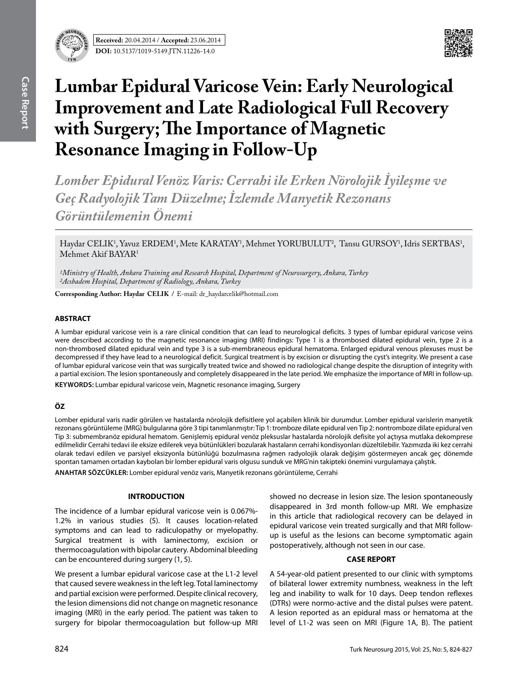

**Received:** 20.04.2014 / **Accepted:** 23.06.2014 **DOI:** 10.5137/1019-5149.JTN.11226-14.0



# **Lumbar Epidural Varicose Vein: Early Neurological Improvement and Late Radiological Full Recovery with Surgery; The Importance of Magnetic Resonance Imaging in Follow-Up**

*Lomber Epidural Venöz Varis: Cerrahi ile Erken Nörolojik İyileşme ve Geç Radyolojik Tam Düzelme; İzlemde Manyetik Rezonans Görüntülemenin Önemi*

Haydar CELIK<sup>1</sup>, Yavuz ERDEM<sup>1</sup>, Mete KARATAY<sup>1</sup>, Mehmet YORUBULUT<sup>2</sup>, Tansu GURSOY<sup>1</sup>, Idris SERTBAS<sup>1</sup>, Mehmet Akif BAYAR1

*1Ministry of Health, Ankara Training and Research Hospital, Department of Neurosurgery, Ankara, Turkey 2Acıbadem Hospital, Department of Radiology, Ankara, Turkey*

**Corresponding Author: Haydar CELIK /** E-mail: dr\_haydarcelik@hotmail.com

## **ABSTRACT**

A lumbar epidural varicose vein is a rare clinical condition that can lead to neurological deficits. 3 types of lumbar epidural varicose veins were described according to the magnetic resonance imaging (MRI) findings: Type 1 is a thrombosed dilated epidural vein, type 2 is a non-thrombosed dilated epidural vein and type 3 is a sub-membraneous epidural hematoma. Enlarged epidural venous plexuses must be decompressed if they have lead to a neurological deficit. Surgical treatment is by excision or disrupting the cyst's integrity. We present a case of lumbar epidural varicose vein that was surgically treated twice and showed no radiological change despite the disruption of integrity with a partial excision. The lesion spontaneously and completely disappeared in the late period. We emphasize the importance of MRI in follow-up. **Keywords:** Lumbar epidural varicose vein, Magnetic resonance imaging, Surgery

## **ÖZ**

Lomber epidural varis nadir görülen ve hastalarda nörolojik defisitlere yol açabilen klinik bir durumdur. Lomber epidural varislerin manyetik rezonans görüntüleme (MRG) bulgularına göre 3 tipi tanımlanmıştır: Tip 1: tromboze dilate epidural ven Tip 2: nontromboze dilate epidural ven Tip 3: submembranöz epidural hematom. Genişlemiş epidural venöz pleksuslar hastalarda nörolojik defisite yol açtıysa mutlaka dekomprese edilmelidir Cerrahi tedavi ile eksize edilerek veya bütünlükleri bozularak hastaların cerrahi kondisyonları düzeltilebilir. Yazımızda iki kez cerrahi olarak tedavi edilen ve parsiyel eksizyonla bütünlüğü bozulmasına rağmen radyolojik olarak değişim göstermeyen ancak geç dönemde spontan tamamen ortadan kaybolan bir lomber epidural varis olgusu sunduk ve MRG'nin takipteki önemini vurgulamaya çalıştık.

**ANAHTAR SÖZCÜKLER:** Lomber epidural venöz varis, Manyetik rezonans görüntüleme, Cerrahi

### **INTRODUCTION**

The incidence of a lumbar epidural varicose vein is 0.067%- 1.2% in various studies (5). It causes location-related symptoms and can lead to radiculopathy or myelopathy. Surgical treatment is with laminectomy, excision or thermocoagulation with bipolar cautery. Abdominal bleeding can be encountered during surgery (1, 5).

We present a lumbar epidural varicose case at the L1-2 level that caused severe weakness in the left leg. Total laminectomy and partial excision were performed. Despite clinical recovery, the lesion dimensions did not change on magnetic resonance imaging (MRI) in the early period. The patient was taken to surgery for bipolar thermocoagulation but follow-up MRI

showed no decrease in lesion size. The lesion spontaneously disappeared in 3rd month follow-up MRI. We emphasize in this article that radiological recovery can be delayed in epidural varicose vein treated surgically and that MRI followup is useful as the lesions can become symptomatic again postoperatively, although not seen in our case.

#### **CASE REPORT**

A 54-year-old patient presented to our clinic with symptoms of bilateral lower extremity numbness, weakness in the left leg and inability to walk for 10 days. Deep tendon reflexes (DTRs) were normo-active and the distal pulses were patent. A lesion reported as an epidural mass or hematoma at the level of L1-2 was seen on MRI (Figure 1A, B). The patient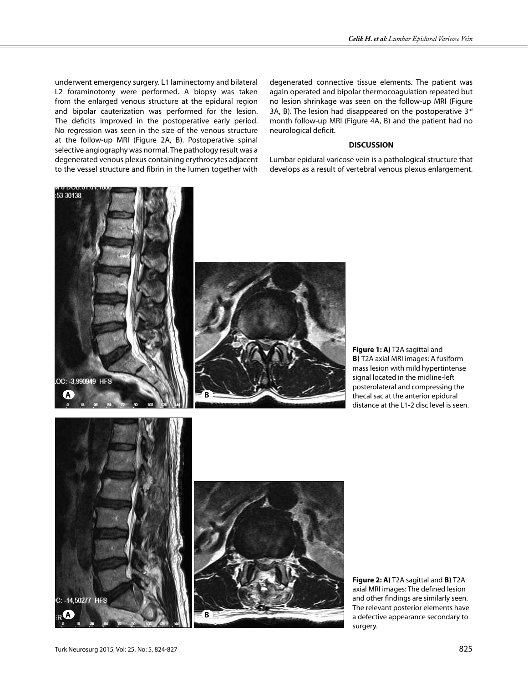underwent emergency surgery. L1 laminectomy and bilateral L2 foraminotomy were performed. A biopsy was taken from the enlarged venous structure at the epidural region and bipolar cauterization was performed for the lesion. The deficits improved in the postoperative early period. No regression was seen in the size of the venous structure at the follow-up MRI (Figure 2A, B). Postoperative spinal selective angiography was normal. The pathology result was a degenerated venous plexus containing erythrocytes adjacent to the vessel structure and fibrin in the lumen together with

degenerated connective tissue elements. The patient was again operated and bipolar thermocoagulation repeated but no lesion shrinkage was seen on the follow-up MRI (Figure 3A, B). The lesion had disappeared on the postoperative  $3<sup>rd</sup>$ month follow-up MRI (Figure 4A, B) and the patient had no neurological deficit.

### **DISCUSSION**

Lumbar epidural varicose vein is a pathological structure that develops as a result of vertebral venous plexus enlargement.



**Figure 1: A)** T2A sagittal and **b)** T2A axial MRI images: A fusiform mass lesion with mild hypertintense signal located in the midline-left posterolateral and compressing the thecal sac at the anterior epidural distance at the L1-2 disc level is seen.





**Figure 2: A)** T2A sagittal and **b)** T2A axial MRI images: The defined lesion and other findings are similarly seen. The relevant posterior elements have a defective appearance secondary to surgery.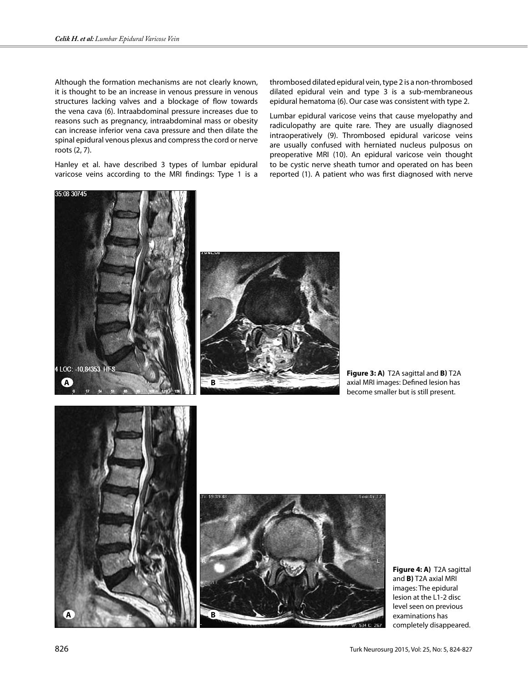Although the formation mechanisms are not clearly known, it is thought to be an increase in venous pressure in venous structures lacking valves and a blockage of flow towards the vena cava (6). Intraabdominal pressure increases due to reasons such as pregnancy, intraabdominal mass or obesity can increase inferior vena cava pressure and then dilate the spinal epidural venous plexus and compress the cord or nerve roots (2, 7).

Hanley et al. have described 3 types of lumbar epidural varicose veins according to the MRI findings: Type 1 is a thrombosed dilated epidural vein, type 2 is a non-thrombosed dilated epidural vein and type 3 is a sub-membraneous epidural hematoma (6). Our case was consistent with type 2.

Lumbar epidural varicose veins that cause myelopathy and radiculopathy are quite rare. They are usually diagnosed intraoperatively (9). Thrombosed epidural varicose veins are usually confused with herniated nucleus pulposus on preoperative MRI (10). An epidural varicose vein thought to be cystic nerve sheath tumor and operated on has been reported (1). A patient who was first diagnosed with nerve





**Figure 3: A)** T2A sagittal and **b)** T2A axial MRI images: Defined lesion has become smaller but is still present.





**Figure 4: A)** T2A sagittal and **B)** T2A axial MRI images: The epidural lesion at the L1-2 disc level seen on previous examinations has completely disappeared.